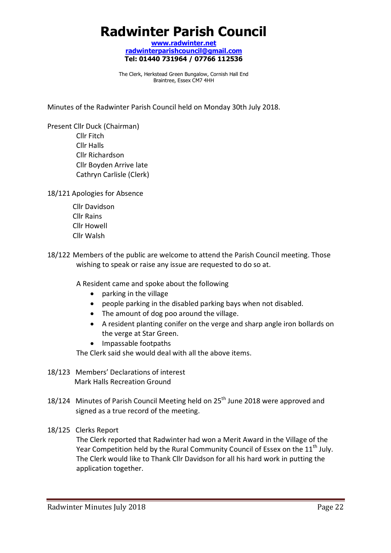# **Radwinter Parish Council**

**www.radwinter.net radwinterparishcouncil@gmail.com Tel: 01440 731964 / 07766 112536** 

The Clerk, Herkstead Green Bungalow, Cornish Hall End Braintree, Essex CM7 4HH

Minutes of the Radwinter Parish Council held on Monday 30th July 2018.

Present Cllr Duck (Chairman) Cllr Fitch Cllr Halls Cllr Richardson Cllr Boyden Arrive late Cathryn Carlisle (Clerk)

18/121 Apologies for Absence

- Cllr Davidson Cllr Rains Cllr Howell Cllr Walsh
- 18/122 Members of the public are welcome to attend the Parish Council meeting. Those wishing to speak or raise any issue are requested to do so at.

A Resident came and spoke about the following

- parking in the village
- people parking in the disabled parking bays when not disabled.
- The amount of dog poo around the village.
- A resident planting conifer on the verge and sharp angle iron bollards on the verge at Star Green.
- Impassable footpaths

The Clerk said she would deal with all the above items.

- 18/123 Members' Declarations of interest Mark Halls Recreation Ground
- 18/124 Minutes of Parish Council Meeting held on  $25<sup>th</sup>$  June 2018 were approved and signed as a true record of the meeting.
- 18/125 Clerks Report

The Clerk reported that Radwinter had won a Merit Award in the Village of the Year Competition held by the Rural Community Council of Essex on the 11<sup>th</sup> July. The Clerk would like to Thank Cllr Davidson for all his hard work in putting the application together.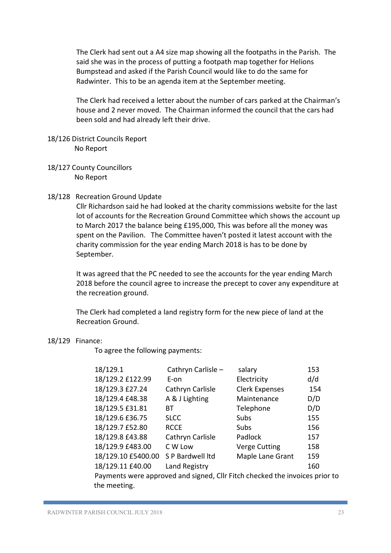The Clerk had sent out a A4 size map showing all the footpaths in the Parish. The said she was in the process of putting a footpath map together for Helions Bumpstead and asked if the Parish Council would like to do the same for Radwinter. This to be an agenda item at the September meeting.

The Clerk had received a letter about the number of cars parked at the Chairman's house and 2 never moved. The Chairman informed the council that the cars had been sold and had already left their drive.

#### 18/126 District Councils Report No Report

18/127 County Councillors No Report

# 18/128 Recreation Ground Update

Cllr Richardson said he had looked at the charity commissions website for the last lot of accounts for the Recreation Ground Committee which shows the account up to March 2017 the balance being £195,000, This was before all the money was spent on the Pavilion. The Committee haven't posted it latest account with the charity commission for the year ending March 2018 is has to be done by September.

It was agreed that the PC needed to see the accounts for the year ending March 2018 before the council agree to increase the precept to cover any expenditure at the recreation ground.

The Clerk had completed a land registry form for the new piece of land at the Recreation Ground.

#### 18/129 Finance:

To agree the following payments:

| 18/129.1                                                                    | Cathryn Carlisle - | salary                | 153 |
|-----------------------------------------------------------------------------|--------------------|-----------------------|-----|
| 18/129.2 £122.99                                                            | E-on               | Electricity           | d/d |
| 18/129.3 £27.24                                                             | Cathryn Carlisle   | <b>Clerk Expenses</b> | 154 |
| 18/129.4 £48.38                                                             | A & J Lighting     | Maintenance           | D/D |
| 18/129.5 £31.81                                                             | ВT                 | Telephone             | D/D |
| 18/129.6 £36.75                                                             | <b>SLCC</b>        | Subs                  | 155 |
| 18/129.7 £52.80                                                             | <b>RCCE</b>        | Subs                  | 156 |
| 18/129.8 £43.88                                                             | Cathryn Carlisle   | Padlock               | 157 |
| 18/129.9 £483.00                                                            | C W Low            | <b>Verge Cutting</b>  | 158 |
| 18/129.10 £5400.00                                                          | S P Bardwell Itd   | Maple Lane Grant      | 159 |
| 18/129.11 £40.00                                                            | Land Registry      |                       | 160 |
| Payments were approved and signed, Cllr Fitch checked the invoices prior to |                    |                       |     |
| the meeting.                                                                |                    |                       |     |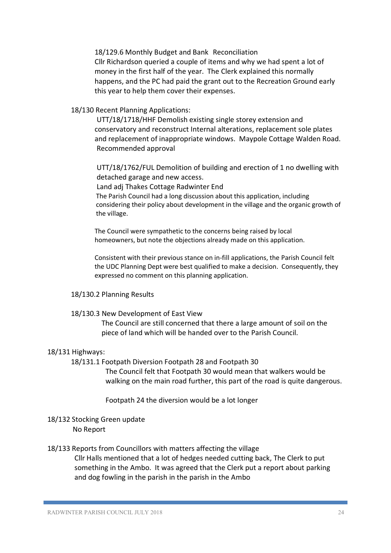18/129.6 Monthly Budget and Bank Reconciliation Cllr Richardson queried a couple of items and why we had spent a lot of money in the first half of the year. The Clerk explained this normally happens, and the PC had paid the grant out to the Recreation Ground early this year to help them cover their expenses.

# 18/130 Recent Planning Applications:

UTT/18/1718/HHF Demolish existing single storey extension and conservatory and reconstruct Internal alterations, replacement sole plates and replacement of inappropriate windows. Maypole Cottage Walden Road. Recommended approval

UTT/18/1762/FUL Demolition of building and erection of 1 no dwelling with detached garage and new access.

Land adj Thakes Cottage Radwinter End

The Parish Council had a long discussion about this application, including considering their policy about development in the village and the organic growth of the village.

The Council were sympathetic to the concerns being raised by local homeowners, but note the objections already made on this application.

Consistent with their previous stance on in-fill applications, the Parish Council felt the UDC Planning Dept were best qualified to make a decision. Consequently, they expressed no comment on this planning application.

18/130.2 Planning Results

#### 18/130.3 New Development of East View

The Council are still concerned that there a large amount of soil on the piece of land which will be handed over to the Parish Council.

# 18/131 Highways:

18/131.1 Footpath Diversion Footpath 28 and Footpath 30

The Council felt that Footpath 30 would mean that walkers would be walking on the main road further, this part of the road is quite dangerous.

Footpath 24 the diversion would be a lot longer

18/132 Stocking Green update No Report

# 18/133 Reports from Councillors with matters affecting the village Cllr Halls mentioned that a lot of hedges needed cutting back, The Clerk to put

something in the Ambo. It was agreed that the Clerk put a report about parking and dog fowling in the parish in the parish in the Ambo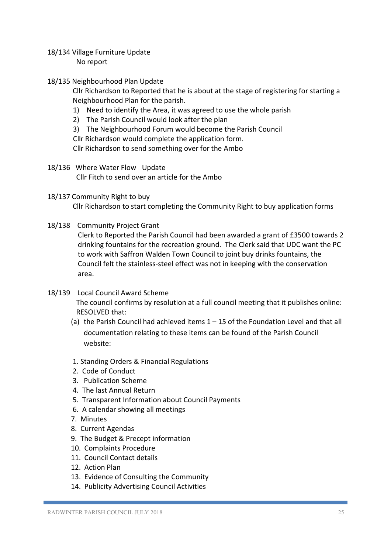- 18/134 Village Furniture Update No report
- 18/135 Neighbourhood Plan Update

 Cllr Richardson to Reported that he is about at the stage of registering for starting a Neighbourhood Plan for the parish.

- 1) Need to identify the Area, it was agreed to use the whole parish
- 2) The Parish Council would look after the plan
- 3) The Neighbourhood Forum would become the Parish Council

Cllr Richardson would complete the application form.

Cllr Richardson to send something over for the Ambo

- 18/136 Where Water Flow Update Cllr Fitch to send over an article for the Ambo
- 18/137 Community Right to buy Cllr Richardson to start completing the Community Right to buy application forms
- 18/138 Community Project Grant

Clerk to Reported the Parish Council had been awarded a grant of £3500 towards 2 drinking fountains for the recreation ground. The Clerk said that UDC want the PC to work with Saffron Walden Town Council to joint buy drinks fountains, the Council felt the stainless-steel effect was not in keeping with the conservation area.

- 18/139 Local Council Award Scheme The council confirms by resolution at a full council meeting that it publishes online: RESOLVED that:
	- (a) the Parish Council had achieved items 1 15 of the Foundation Level and that all documentation relating to these items can be found of the Parish Council website:
	- 1. Standing Orders & Financial Regulations
	- 2. Code of Conduct
	- 3. Publication Scheme
	- 4. The last Annual Return
	- 5. Transparent Information about Council Payments
	- 6. A calendar showing all meetings
	- 7. Minutes
	- 8. Current Agendas
	- 9. The Budget & Precept information
	- 10. Complaints Procedure
	- 11. Council Contact details
	- 12. Action Plan
	- 13. Evidence of Consulting the Community
	- 14. Publicity Advertising Council Activities